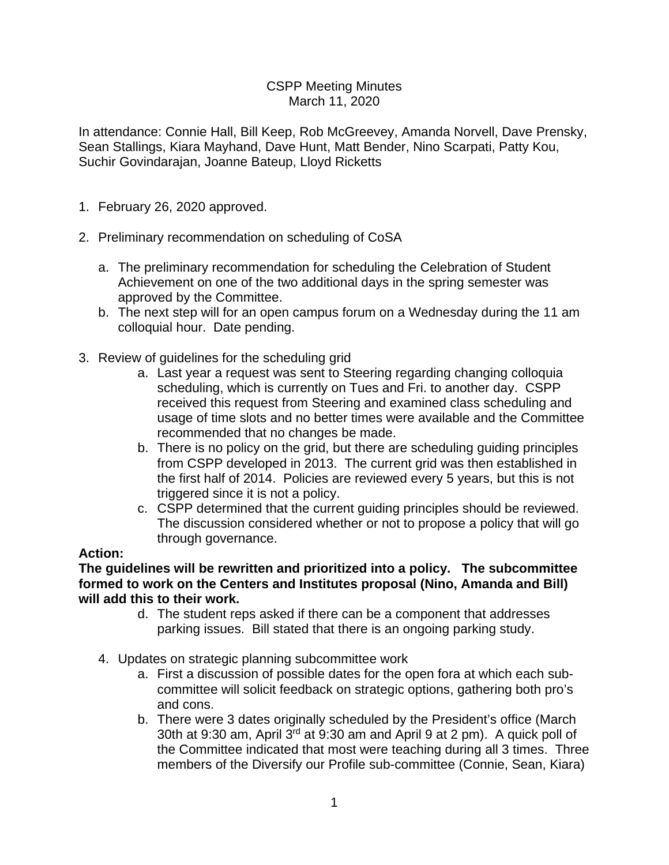### CSPP Meeting Minutes March 11, 2020

In attendance: Connie Hall, Bill Keep, Rob McGreevey, Amanda Norvell, Dave Prensky, Sean Stallings, Kiara Mayhand, Dave Hunt, Matt Bender, Nino Scarpati, Patty Kou, Suchir Govindarajan, Joanne Bateup, Lloyd Ricketts

- 1. February 26, 2020 approved.
- 2. Preliminary recommendation on scheduling of CoSA
	- a. The preliminary recommendation for scheduling the Celebration of Student Achievement on one of the two additional days in the spring semester was approved by the Committee.
	- b. The next step will for an open campus forum on a Wednesday during the 11 am colloquial hour. Date pending.
- 3. Review of guidelines for the scheduling grid
	- a. Last year a request was sent to Steering regarding changing colloquia scheduling, which is currently on Tues and Fri. to another day. CSPP received this request from Steering and examined class scheduling and usage of time slots and no better times were available and the Committee recommended that no changes be made.
	- b. There is no policy on the grid, but there are scheduling guiding principles from CSPP developed in 2013. The current grid was then established in the first half of 2014. Policies are reviewed every 5 years, but this is not triggered since it is not a policy.
	- c. CSPP determined that the current guiding principles should be reviewed. The discussion considered whether or not to propose a policy that will go through governance.

### **Action:**

### **The guidelines will be rewritten and prioritized into a policy. The subcommittee formed to work on the Centers and Institutes proposal (Nino, Amanda and Bill) will add this to their work.**

- d. The student reps asked if there can be a component that addresses parking issues. Bill stated that there is an ongoing parking study.
- 4. Updates on strategic planning subcommittee work
	- a. First a discussion of possible dates for the open fora at which each subcommittee will solicit feedback on strategic options, gathering both pro's and cons.
	- b. There were 3 dates originally scheduled by the President's office (March 30th at 9:30 am, April 3rd at 9:30 am and April 9 at 2 pm). A quick poll of the Committee indicated that most were teaching during all 3 times. Three members of the Diversify our Profile sub-committee (Connie, Sean, Kiara)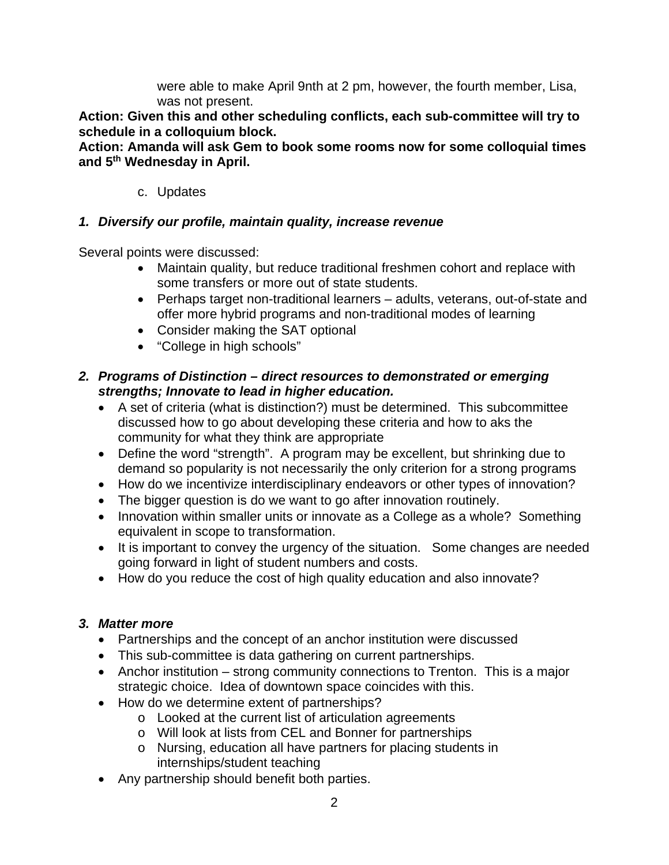were able to make April 9nth at 2 pm, however, the fourth member, Lisa, was not present.

**Action: Given this and other scheduling conflicts, each sub-committee will try to schedule in a colloquium block.** 

**Action: Amanda will ask Gem to book some rooms now for some colloquial times and 5th Wednesday in April.**

## c. Updates

## *1. Diversify our profile, maintain quality, increase revenue*

Several points were discussed:

- Maintain quality, but reduce traditional freshmen cohort and replace with some transfers or more out of state students.
- Perhaps target non-traditional learners adults, veterans, out-of-state and offer more hybrid programs and non-traditional modes of learning
- Consider making the SAT optional
- "College in high schools"

### *2. Programs of Distinction – direct resources to demonstrated or emerging strengths; Innovate to lead in higher education.*

- A set of criteria (what is distinction?) must be determined. This subcommittee discussed how to go about developing these criteria and how to aks the community for what they think are appropriate
- Define the word "strength". A program may be excellent, but shrinking due to demand so popularity is not necessarily the only criterion for a strong programs
- How do we incentivize interdisciplinary endeavors or other types of innovation?
- The bigger question is do we want to go after innovation routinely.
- Innovation within smaller units or innovate as a College as a whole? Something equivalent in scope to transformation.
- It is important to convey the urgency of the situation. Some changes are needed going forward in light of student numbers and costs.
- How do you reduce the cost of high quality education and also innovate?

# *3. Matter more*

- Partnerships and the concept of an anchor institution were discussed
- This sub-committee is data gathering on current partnerships.
- Anchor institution strong community connections to Trenton. This is a major strategic choice. Idea of downtown space coincides with this.
- How do we determine extent of partnerships?
	- o Looked at the current list of articulation agreements
	- o Will look at lists from CEL and Bonner for partnerships
	- o Nursing, education all have partners for placing students in internships/student teaching
- Any partnership should benefit both parties.